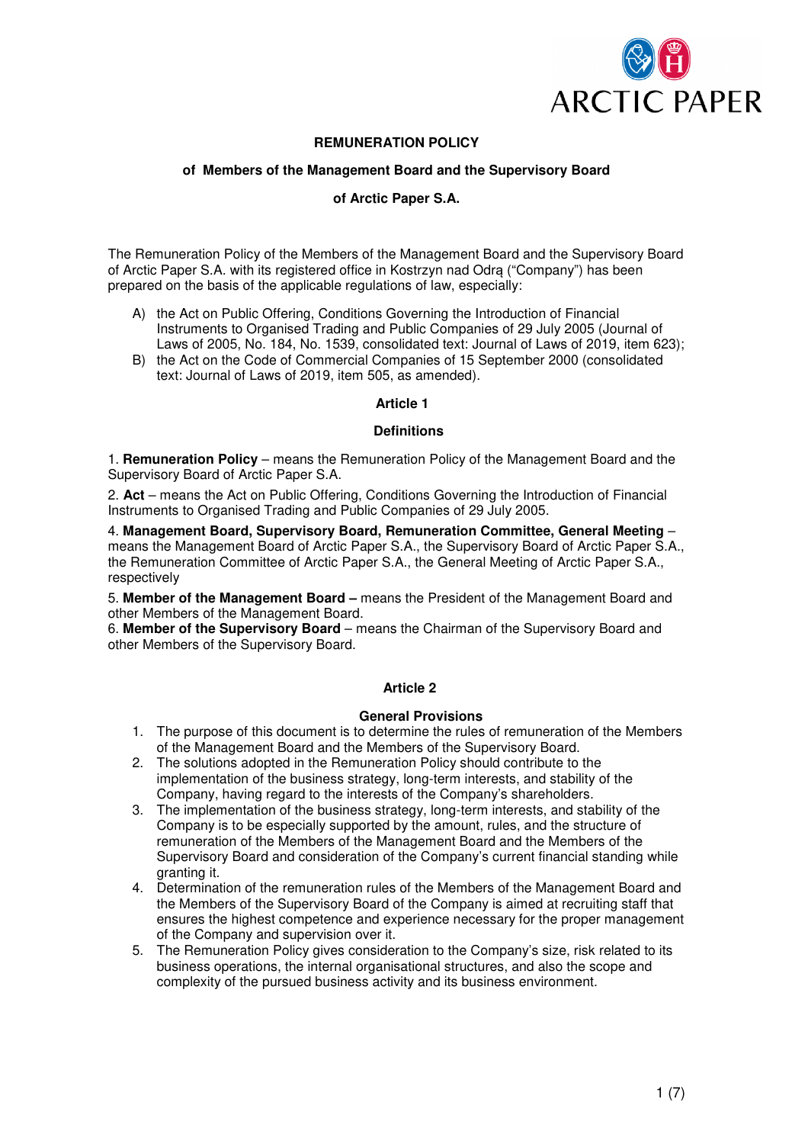

# **REMUNERATION POLICY**

## **of Members of the Management Board and the Supervisory Board**

# **of Arctic Paper S.A.**

The Remuneration Policy of the Members of the Management Board and the Supervisory Board of Arctic Paper S.A. with its registered office in Kostrzyn nad Odrą ("Company") has been prepared on the basis of the applicable regulations of law, especially:

- A) the Act on Public Offering, Conditions Governing the Introduction of Financial Instruments to Organised Trading and Public Companies of 29 July 2005 (Journal of Laws of 2005, No. 184, No. 1539, consolidated text: Journal of Laws of 2019, item 623);
- B) the Act on the Code of Commercial Companies of 15 September 2000 (consolidated text: Journal of Laws of 2019, item 505, as amended).

### **Article 1**

### **Definitions**

1. **Remuneration Policy** – means the Remuneration Policy of the Management Board and the Supervisory Board of Arctic Paper S.A.

2. **Act** – means the Act on Public Offering, Conditions Governing the Introduction of Financial Instruments to Organised Trading and Public Companies of 29 July 2005.

4. **Management Board, Supervisory Board, Remuneration Committee, General Meeting** – means the Management Board of Arctic Paper S.A., the Supervisory Board of Arctic Paper S.A., the Remuneration Committee of Arctic Paper S.A., the General Meeting of Arctic Paper S.A., respectively

5. **Member of the Management Board –** means the President of the Management Board and other Members of the Management Board.

6. **Member of the Supervisory Board** – means the Chairman of the Supervisory Board and other Members of the Supervisory Board.

### **Article 2**

### **General Provisions**

- 1. The purpose of this document is to determine the rules of remuneration of the Members of the Management Board and the Members of the Supervisory Board.
- 2. The solutions adopted in the Remuneration Policy should contribute to the implementation of the business strategy, long-term interests, and stability of the Company, having regard to the interests of the Company's shareholders.
- 3. The implementation of the business strategy, long-term interests, and stability of the Company is to be especially supported by the amount, rules, and the structure of remuneration of the Members of the Management Board and the Members of the Supervisory Board and consideration of the Company's current financial standing while granting it.
- 4. Determination of the remuneration rules of the Members of the Management Board and the Members of the Supervisory Board of the Company is aimed at recruiting staff that ensures the highest competence and experience necessary for the proper management of the Company and supervision over it.
- 5. The Remuneration Policy gives consideration to the Company's size, risk related to its business operations, the internal organisational structures, and also the scope and complexity of the pursued business activity and its business environment.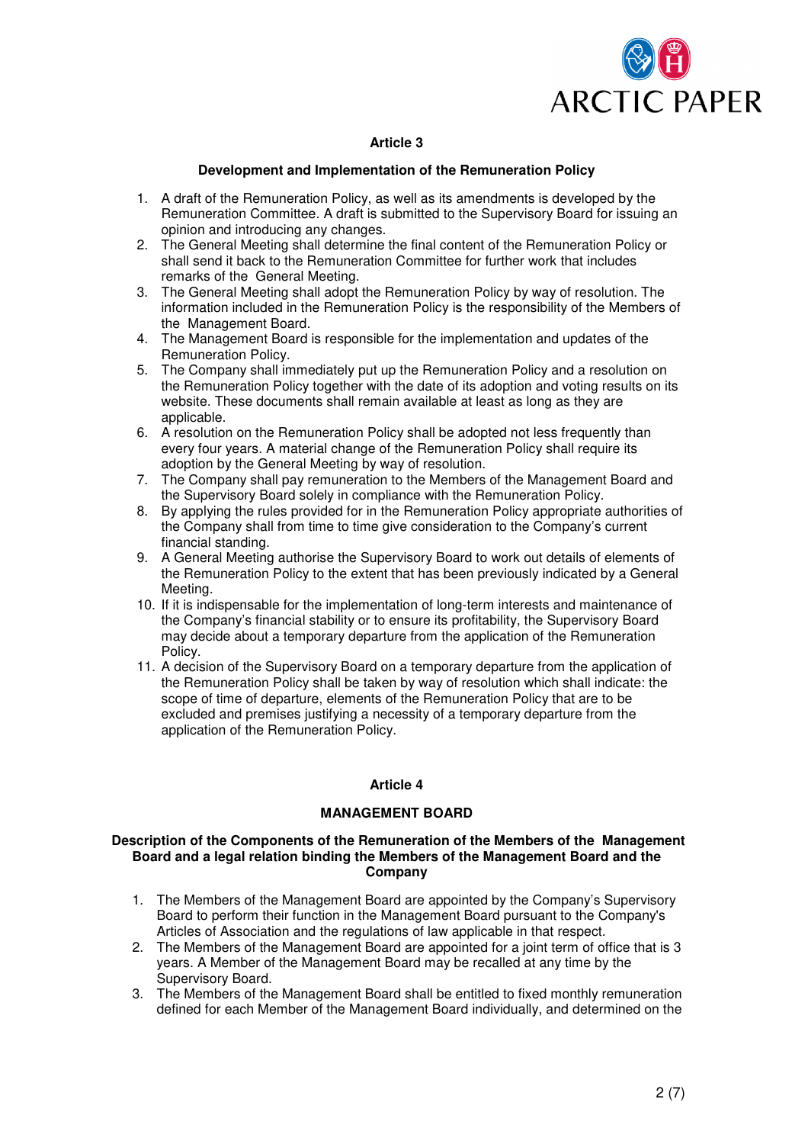

# **Article 3**

## **Development and Implementation of the Remuneration Policy**

- 1. A draft of the Remuneration Policy, as well as its amendments is developed by the Remuneration Committee. A draft is submitted to the Supervisory Board for issuing an opinion and introducing any changes.
- 2. The General Meeting shall determine the final content of the Remuneration Policy or shall send it back to the Remuneration Committee for further work that includes remarks of the General Meeting.
- 3. The General Meeting shall adopt the Remuneration Policy by way of resolution. The information included in the Remuneration Policy is the responsibility of the Members of the Management Board.
- 4. The Management Board is responsible for the implementation and updates of the Remuneration Policy.
- 5. The Company shall immediately put up the Remuneration Policy and a resolution on the Remuneration Policy together with the date of its adoption and voting results on its website. These documents shall remain available at least as long as they are applicable.
- 6. A resolution on the Remuneration Policy shall be adopted not less frequently than every four years. A material change of the Remuneration Policy shall require its adoption by the General Meeting by way of resolution.
- 7. The Company shall pay remuneration to the Members of the Management Board and the Supervisory Board solely in compliance with the Remuneration Policy.
- 8. By applying the rules provided for in the Remuneration Policy appropriate authorities of the Company shall from time to time give consideration to the Company's current financial standing.
- 9. A General Meeting authorise the Supervisory Board to work out details of elements of the Remuneration Policy to the extent that has been previously indicated by a General Meeting.
- 10. If it is indispensable for the implementation of long-term interests and maintenance of the Company's financial stability or to ensure its profitability, the Supervisory Board may decide about a temporary departure from the application of the Remuneration Policy.
- 11. A decision of the Supervisory Board on a temporary departure from the application of the Remuneration Policy shall be taken by way of resolution which shall indicate: the scope of time of departure, elements of the Remuneration Policy that are to be excluded and premises justifying a necessity of a temporary departure from the application of the Remuneration Policy.

# **Article 4**

# **MANAGEMENT BOARD**

### **Description of the Components of the Remuneration of the Members of the Management Board and a legal relation binding the Members of the Management Board and the Company**

- 1. The Members of the Management Board are appointed by the Company's Supervisory Board to perform their function in the Management Board pursuant to the Company's Articles of Association and the regulations of law applicable in that respect.
- 2. The Members of the Management Board are appointed for a joint term of office that is 3 years. A Member of the Management Board may be recalled at any time by the Supervisory Board.
- 3. The Members of the Management Board shall be entitled to fixed monthly remuneration defined for each Member of the Management Board individually, and determined on the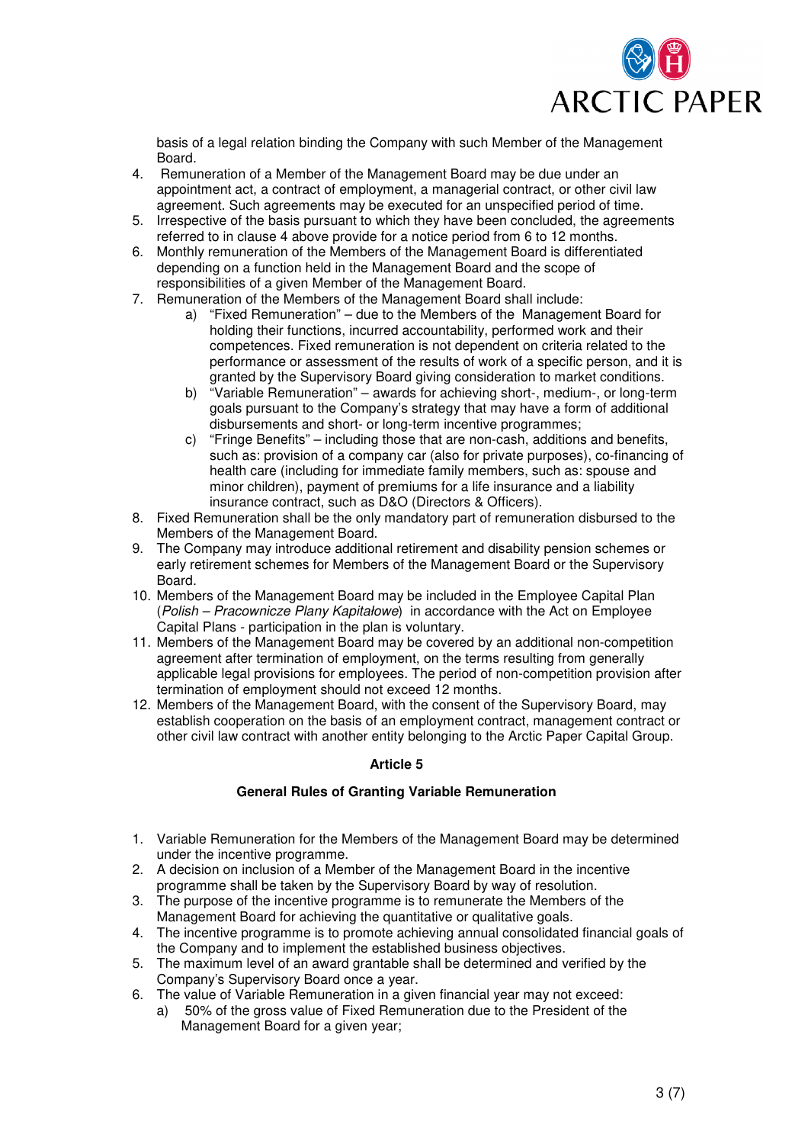

basis of a legal relation binding the Company with such Member of the Management Board.

- 4. Remuneration of a Member of the Management Board may be due under an appointment act, a contract of employment, a managerial contract, or other civil law agreement. Such agreements may be executed for an unspecified period of time.
- 5. Irrespective of the basis pursuant to which they have been concluded, the agreements referred to in clause 4 above provide for a notice period from 6 to 12 months.
- 6. Monthly remuneration of the Members of the Management Board is differentiated depending on a function held in the Management Board and the scope of responsibilities of a given Member of the Management Board.
- 7. Remuneration of the Members of the Management Board shall include:
	- a) "Fixed Remuneration" due to the Members of the Management Board for holding their functions, incurred accountability, performed work and their competences. Fixed remuneration is not dependent on criteria related to the performance or assessment of the results of work of a specific person, and it is granted by the Supervisory Board giving consideration to market conditions.
	- b) "Variable Remuneration" awards for achieving short-, medium-, or long-term goals pursuant to the Company's strategy that may have a form of additional disbursements and short- or long-term incentive programmes;
	- c) "Fringe Benefits" including those that are non-cash, additions and benefits, such as: provision of a company car (also for private purposes), co-financing of health care (including for immediate family members, such as: spouse and minor children), payment of premiums for a life insurance and a liability insurance contract, such as D&O (Directors & Officers).
- 8. Fixed Remuneration shall be the only mandatory part of remuneration disbursed to the Members of the Management Board.
- 9. The Company may introduce additional retirement and disability pension schemes or early retirement schemes for Members of the Management Board or the Supervisory Board.
- 10. Members of the Management Board may be included in the Employee Capital Plan (Polish – Pracownicze Plany Kapitałowe) in accordance with the Act on Employee Capital Plans - participation in the plan is voluntary.
- 11. Members of the Management Board may be covered by an additional non-competition agreement after termination of employment, on the terms resulting from generally applicable legal provisions for employees. The period of non-competition provision after termination of employment should not exceed 12 months.
- 12. Members of the Management Board, with the consent of the Supervisory Board, may establish cooperation on the basis of an employment contract, management contract or other civil law contract with another entity belonging to the Arctic Paper Capital Group.

# **Article 5**

# **General Rules of Granting Variable Remuneration**

- 1. Variable Remuneration for the Members of the Management Board may be determined under the incentive programme.
- 2. A decision on inclusion of a Member of the Management Board in the incentive programme shall be taken by the Supervisory Board by way of resolution.
- 3. The purpose of the incentive programme is to remunerate the Members of the Management Board for achieving the quantitative or qualitative goals.
- 4. The incentive programme is to promote achieving annual consolidated financial goals of the Company and to implement the established business objectives.
- 5. The maximum level of an award grantable shall be determined and verified by the Company's Supervisory Board once a year.
- 6. The value of Variable Remuneration in a given financial year may not exceed:
	- a) 50% of the gross value of Fixed Remuneration due to the President of the Management Board for a given year;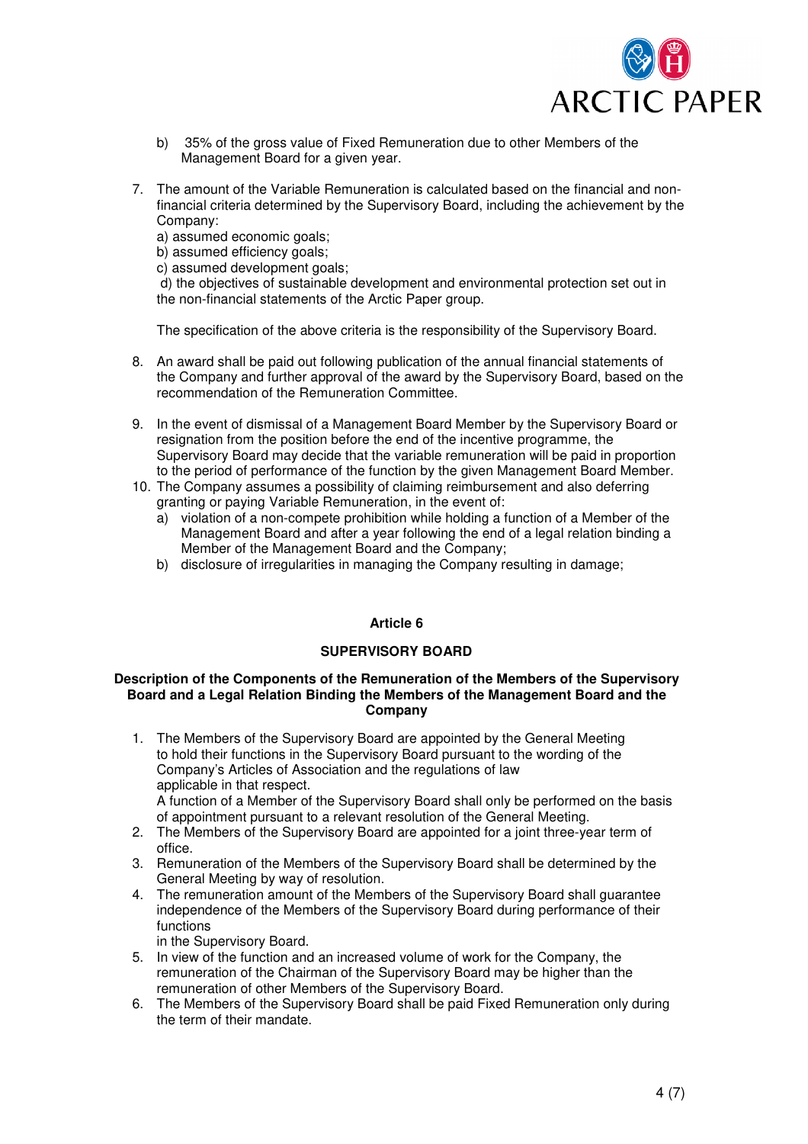

- b) 35% of the gross value of Fixed Remuneration due to other Members of the Management Board for a given year.
- 7. The amount of the Variable Remuneration is calculated based on the financial and nonfinancial criteria determined by the Supervisory Board, including the achievement by the Company:

a) assumed economic goals:

b) assumed efficiency goals;

c) assumed development goals;

 d) the objectives of sustainable development and environmental protection set out in the non-financial statements of the Arctic Paper group.

The specification of the above criteria is the responsibility of the Supervisory Board.

- 8. An award shall be paid out following publication of the annual financial statements of the Company and further approval of the award by the Supervisory Board, based on the recommendation of the Remuneration Committee.
- 9. In the event of dismissal of a Management Board Member by the Supervisory Board or resignation from the position before the end of the incentive programme, the Supervisory Board may decide that the variable remuneration will be paid in proportion to the period of performance of the function by the given Management Board Member.
- 10. The Company assumes a possibility of claiming reimbursement and also deferring granting or paying Variable Remuneration, in the event of:
	- a) violation of a non-compete prohibition while holding a function of a Member of the Management Board and after a year following the end of a legal relation binding a Member of the Management Board and the Company;
	- b) disclosure of irregularities in managing the Company resulting in damage;

# **Article 6**

# **SUPERVISORY BOARD**

### **Description of the Components of the Remuneration of the Members of the Supervisory Board and a Legal Relation Binding the Members of the Management Board and the Company**

1. The Members of the Supervisory Board are appointed by the General Meeting to hold their functions in the Supervisory Board pursuant to the wording of the Company's Articles of Association and the regulations of law applicable in that respect.

A function of a Member of the Supervisory Board shall only be performed on the basis of appointment pursuant to a relevant resolution of the General Meeting.

- 2. The Members of the Supervisory Board are appointed for a joint three-year term of office.
- 3. Remuneration of the Members of the Supervisory Board shall be determined by the General Meeting by way of resolution.
- 4. The remuneration amount of the Members of the Supervisory Board shall guarantee independence of the Members of the Supervisory Board during performance of their functions

in the Supervisory Board.

- 5. In view of the function and an increased volume of work for the Company, the remuneration of the Chairman of the Supervisory Board may be higher than the remuneration of other Members of the Supervisory Board.
- 6. The Members of the Supervisory Board shall be paid Fixed Remuneration only during the term of their mandate.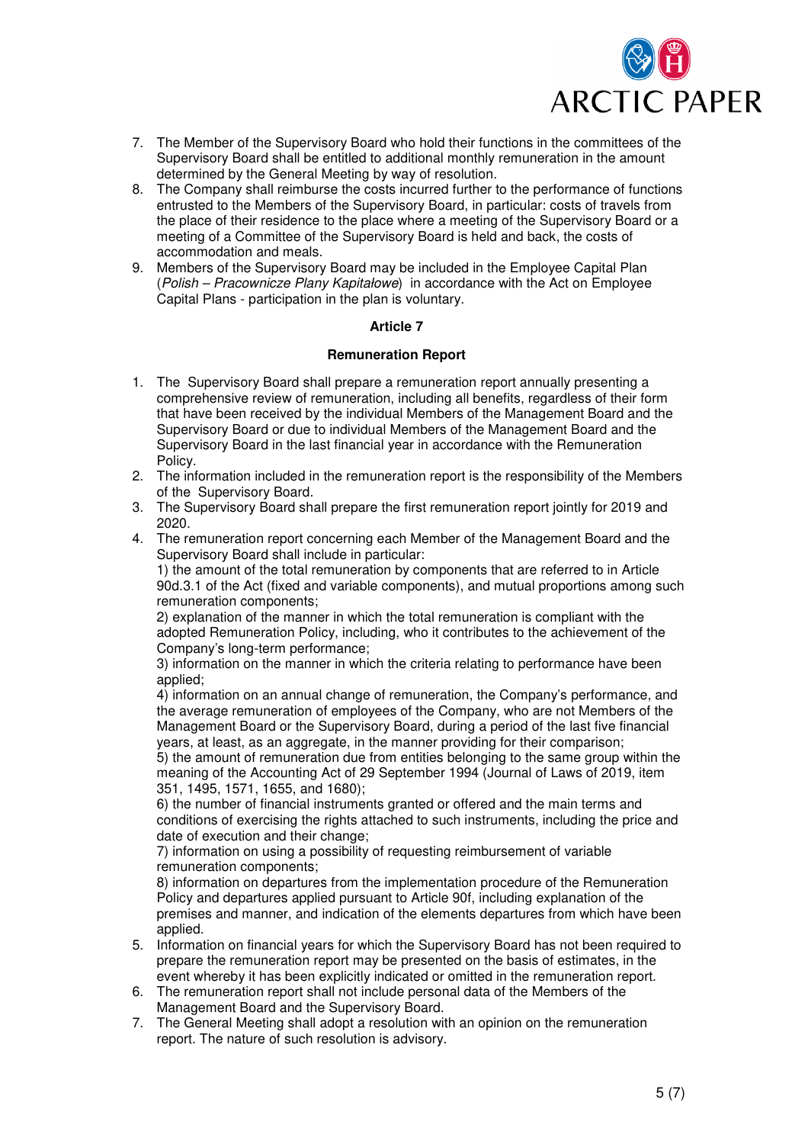

- 7. The Member of the Supervisory Board who hold their functions in the committees of the Supervisory Board shall be entitled to additional monthly remuneration in the amount determined by the General Meeting by way of resolution.
- 8. The Company shall reimburse the costs incurred further to the performance of functions entrusted to the Members of the Supervisory Board, in particular: costs of travels from the place of their residence to the place where a meeting of the Supervisory Board or a meeting of a Committee of the Supervisory Board is held and back, the costs of accommodation and meals.
- 9. Members of the Supervisory Board may be included in the Employee Capital Plan (Polish – Pracownicze Plany Kapitałowe) in accordance with the Act on Employee Capital Plans - participation in the plan is voluntary.

# **Article 7**

### **Remuneration Report**

- 1. The Supervisory Board shall prepare a remuneration report annually presenting a comprehensive review of remuneration, including all benefits, regardless of their form that have been received by the individual Members of the Management Board and the Supervisory Board or due to individual Members of the Management Board and the Supervisory Board in the last financial year in accordance with the Remuneration Policy.
- 2. The information included in the remuneration report is the responsibility of the Members of the Supervisory Board.
- 3. The Supervisory Board shall prepare the first remuneration report jointly for 2019 and 2020.
- 4. The remuneration report concerning each Member of the Management Board and the Supervisory Board shall include in particular:

1) the amount of the total remuneration by components that are referred to in Article 90d.3.1 of the Act (fixed and variable components), and mutual proportions among such remuneration components;

2) explanation of the manner in which the total remuneration is compliant with the adopted Remuneration Policy, including, who it contributes to the achievement of the Company's long-term performance;

3) information on the manner in which the criteria relating to performance have been applied;

4) information on an annual change of remuneration, the Company's performance, and the average remuneration of employees of the Company, who are not Members of the Management Board or the Supervisory Board, during a period of the last five financial years, at least, as an aggregate, in the manner providing for their comparison;

5) the amount of remuneration due from entities belonging to the same group within the meaning of the Accounting Act of 29 September 1994 (Journal of Laws of 2019, item 351, 1495, 1571, 1655, and 1680);

6) the number of financial instruments granted or offered and the main terms and conditions of exercising the rights attached to such instruments, including the price and date of execution and their change;

7) information on using a possibility of requesting reimbursement of variable remuneration components;

8) information on departures from the implementation procedure of the Remuneration Policy and departures applied pursuant to Article 90f, including explanation of the premises and manner, and indication of the elements departures from which have been applied.

- 5. Information on financial years for which the Supervisory Board has not been required to prepare the remuneration report may be presented on the basis of estimates, in the event whereby it has been explicitly indicated or omitted in the remuneration report.
- 6. The remuneration report shall not include personal data of the Members of the Management Board and the Supervisory Board.
- 7. The General Meeting shall adopt a resolution with an opinion on the remuneration report. The nature of such resolution is advisory.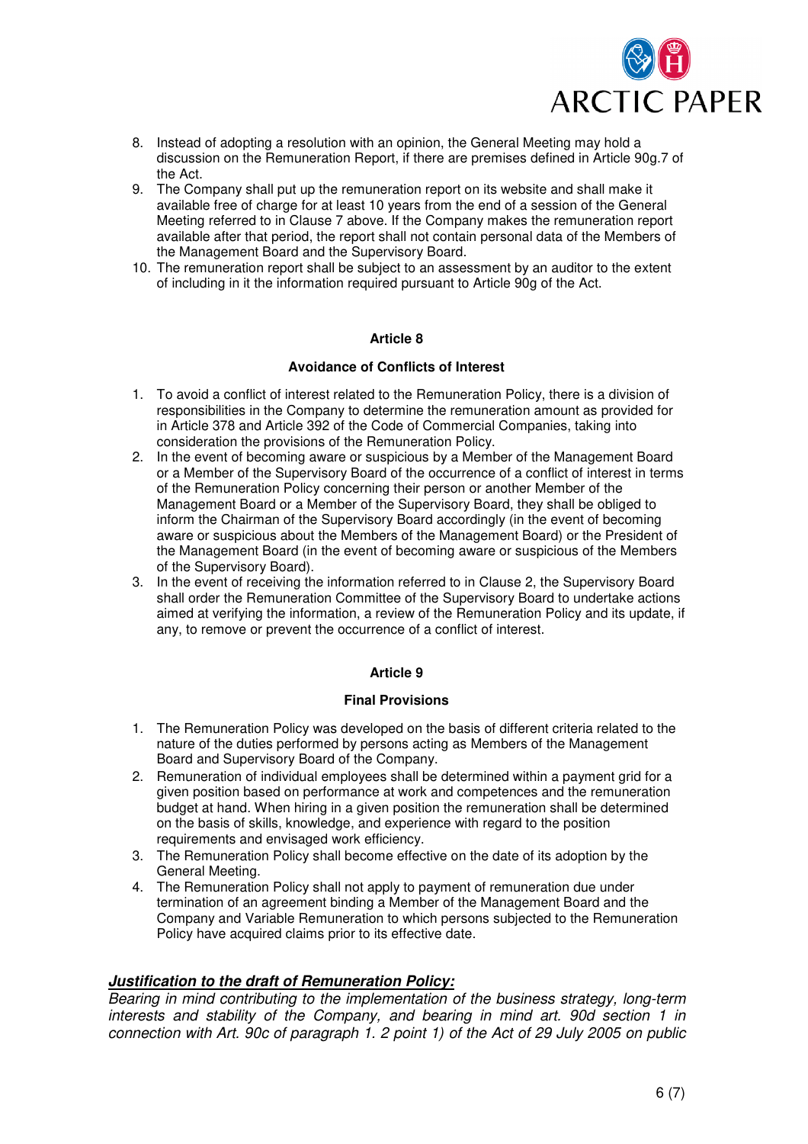

- 8. Instead of adopting a resolution with an opinion, the General Meeting may hold a discussion on the Remuneration Report, if there are premises defined in Article 90g.7 of the Act.
- 9. The Company shall put up the remuneration report on its website and shall make it available free of charge for at least 10 years from the end of a session of the General Meeting referred to in Clause 7 above. If the Company makes the remuneration report available after that period, the report shall not contain personal data of the Members of the Management Board and the Supervisory Board.
- 10. The remuneration report shall be subject to an assessment by an auditor to the extent of including in it the information required pursuant to Article 90g of the Act.

# **Article 8**

# **Avoidance of Conflicts of Interest**

- 1. To avoid a conflict of interest related to the Remuneration Policy, there is a division of responsibilities in the Company to determine the remuneration amount as provided for in Article 378 and Article 392 of the Code of Commercial Companies, taking into consideration the provisions of the Remuneration Policy.
- 2. In the event of becoming aware or suspicious by a Member of the Management Board or a Member of the Supervisory Board of the occurrence of a conflict of interest in terms of the Remuneration Policy concerning their person or another Member of the Management Board or a Member of the Supervisory Board, they shall be obliged to inform the Chairman of the Supervisory Board accordingly (in the event of becoming aware or suspicious about the Members of the Management Board) or the President of the Management Board (in the event of becoming aware or suspicious of the Members of the Supervisory Board).
- 3. In the event of receiving the information referred to in Clause 2, the Supervisory Board shall order the Remuneration Committee of the Supervisory Board to undertake actions aimed at verifying the information, a review of the Remuneration Policy and its update, if any, to remove or prevent the occurrence of a conflict of interest.

# **Article 9**

# **Final Provisions**

- 1. The Remuneration Policy was developed on the basis of different criteria related to the nature of the duties performed by persons acting as Members of the Management Board and Supervisory Board of the Company.
- 2. Remuneration of individual employees shall be determined within a payment grid for a given position based on performance at work and competences and the remuneration budget at hand. When hiring in a given position the remuneration shall be determined on the basis of skills, knowledge, and experience with regard to the position requirements and envisaged work efficiency.
- 3. The Remuneration Policy shall become effective on the date of its adoption by the General Meeting.
- 4. The Remuneration Policy shall not apply to payment of remuneration due under termination of an agreement binding a Member of the Management Board and the Company and Variable Remuneration to which persons subjected to the Remuneration Policy have acquired claims prior to its effective date.

# **Justification to the draft of Remuneration Policy:**

Bearing in mind contributing to the implementation of the business strategy, long-term interests and stability of the Company, and bearing in mind art. 90d section 1 in connection with Art. 90c of paragraph 1. 2 point 1) of the Act of 29 July 2005 on public